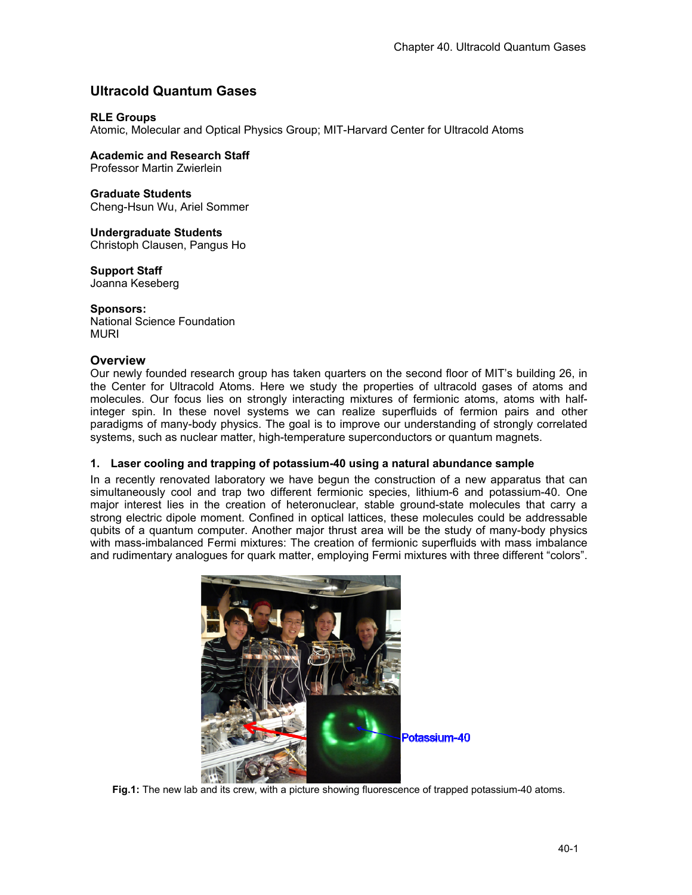# **Ultracold Quantum Gases**

# **RLE Groups**

Atomic, Molecular and Optical Physics Group; MIT-Harvard Center for Ultracold Atoms

# **Academic and Research Staff**

Professor Martin Zwierlein

### **Graduate Students**

Cheng-Hsun Wu, Ariel Sommer

# **Undergraduate Students**

Christoph Clausen, Pangus Ho

# **Support Staff**

Joanna Keseberg

# **Sponsors:**

National Science Foundation MURI

# **Overview**

Our newly founded research group has taken quarters on the second floor of MIT's building 26, in the Center for Ultracold Atoms. Here we study the properties of ultracold gases of atoms and molecules. Our focus lies on strongly interacting mixtures of fermionic atoms, atoms with halfinteger spin. In these novel systems we can realize superfluids of fermion pairs and other paradigms of many-body physics. The goal is to improve our understanding of strongly correlated systems, such as nuclear matter, high-temperature superconductors or quantum magnets.

### **1. Laser cooling and trapping of potassium-40 using a natural abundance sample**

In a recently renovated laboratory we have begun the construction of a new apparatus that can simultaneously cool and trap two different fermionic species, lithium-6 and potassium-40. One major interest lies in the creation of heteronuclear, stable ground-state molecules that carry a strong electric dipole moment. Confined in optical lattices, these molecules could be addressable qubits of a quantum computer. Another major thrust area will be the study of many-body physics with mass-imbalanced Fermi mixtures: The creation of fermionic superfluids with mass imbalance and rudimentary analogues for quark matter, employing Fermi mixtures with three different "colors".



**Fig.1:** The new lab and its crew, with a picture showing fluorescence of trapped potassium-40 atoms.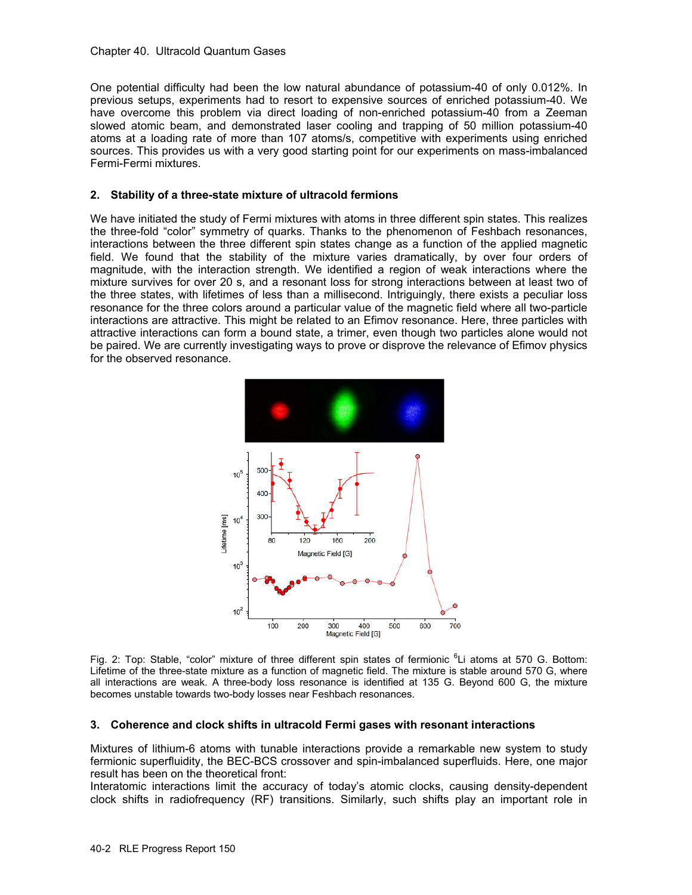#### Chapter 40. Ultracold Quantum Gases

One potential difficulty had been the low natural abundance of potassium-40 of only 0.012%. In previous setups, experiments had to resort to expensive sources of enriched potassium-40. We have overcome this problem via direct loading of non-enriched potassium-40 from a Zeeman slowed atomic beam, and demonstrated laser cooling and trapping of 50 million potassium-40 atoms at a loading rate of more than 107 atoms/s, competitive with experiments using enriched sources. This provides us with a very good starting point for our experiments on mass-imbalanced Fermi-Fermi mixtures.

### **2. Stability of a three-state mixture of ultracold fermions**

We have initiated the study of Fermi mixtures with atoms in three different spin states. This realizes the three-fold "color" symmetry of quarks. Thanks to the phenomenon of Feshbach resonances, interactions between the three different spin states change as a function of the applied magnetic field. We found that the stability of the mixture varies dramatically, by over four orders of magnitude, with the interaction strength. We identified a region of weak interactions where the mixture survives for over 20 s, and a resonant loss for strong interactions between at least two of the three states, with lifetimes of less than a millisecond. Intriguingly, there exists a peculiar loss resonance for the three colors around a particular value of the magnetic field where all two-particle interactions are attractive. This might be related to an Efimov resonance. Here, three particles with attractive interactions can form a bound state, a trimer, even though two particles alone would not be paired. We are currently investigating ways to prove or disprove the relevance of Efimov physics for the observed resonance.



Fig. 2: Top: Stable, "color" mixture of three different spin states of fermionic <sup>6</sup>Li atoms at 570 G. Bottom: Lifetime of the three-state mixture as a function of magnetic field. The mixture is stable around 570 G, where all interactions are weak. A three-body loss resonance is identified at 135 G. Beyond 600 G, the mixture becomes unstable towards two-body losses near Feshbach resonances.

#### **3. Coherence and clock shifts in ultracold Fermi gases with resonant interactions**

Mixtures of lithium-6 atoms with tunable interactions provide a remarkable new system to study fermionic superfluidity, the BEC-BCS crossover and spin-imbalanced superfluids. Here, one major result has been on the theoretical front:

Interatomic interactions limit the accuracy of today's atomic clocks, causing density-dependent clock shifts in radiofrequency (RF) transitions. Similarly, such shifts play an important role in